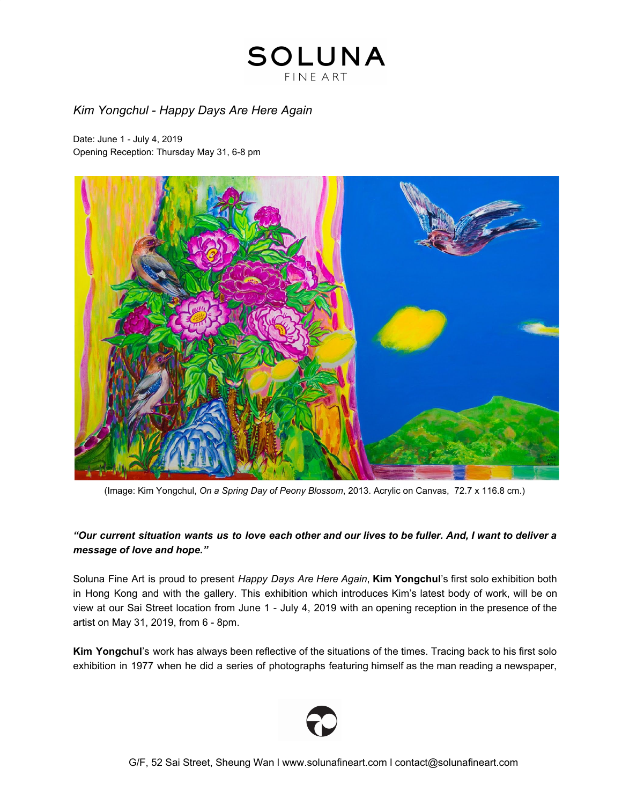### *Kim Yongchul - Happy Days Are Here Again*

Date: June 1 - July 4, 2019 Opening Reception: Thursday May 31, 6-8 pm



(Image: Kim Yongchul, *On a Spring Day of Peony Blossom*, 2013. Acrylic on Canvas, 72.7 x 116.8 cm.)

### "Our current situation wants us to love each other and our lives to be fuller. And, I want to deliver a *message of love and hope."*

Soluna Fine Art is proud to present *Happy Days Are Here Again*, **Kim Yongchul**'s first solo exhibition both in Hong Kong and with the gallery. This exhibition which introduces Kim's latest body of work, will be on view at our Sai Street location from June 1 - July 4, 2019 with an opening reception in the presence of the artist on May 31, 2019, from 6 - 8pm.

**Kim Yongchul**'s work has always been reflective of the situations of the times. Tracing back to his first solo exhibition in 1977 when he did a series of photographs featuring himself as the man reading a newspaper,

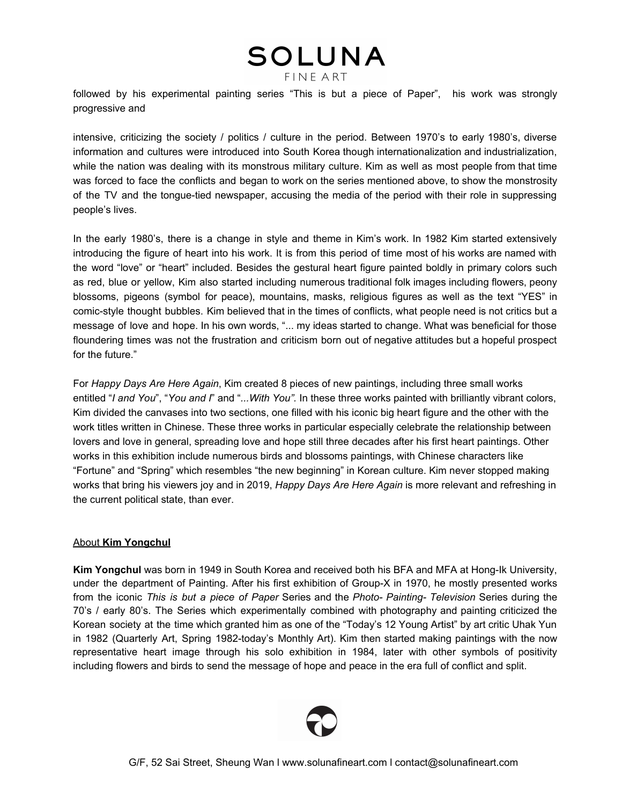followed by his experimental painting series "This is but a piece of Paper", his work was strongly progressive and

intensive, criticizing the society / politics / culture in the period. Between 1970's to early 1980's, diverse information and cultures were introduced into South Korea though internationalization and industrialization, while the nation was dealing with its monstrous military culture. Kim as well as most people from that time was forced to face the conflicts and began to work on the series mentioned above, to show the monstrosity of the TV and the tongue-tied newspaper, accusing the media of the period with their role in suppressing people's lives.

In the early 1980's, there is a change in style and theme in Kim's work. In 1982 Kim started extensively introducing the figure of heart into his work. It is from this period of time most of his works are named with the word "love" or "heart" included. Besides the gestural heart figure painted boldly in primary colors such as red, blue or yellow, Kim also started including numerous traditional folk images including flowers, peony blossoms, pigeons (symbol for peace), mountains, masks, religious figures as well as the text "YES" in comic-style thought bubbles. Kim believed that in the times of conflicts, what people need is not critics but a message of love and hope. In his own words, "... my ideas started to change. What was beneficial for those floundering times was not the frustration and criticism born out of negative attitudes but a hopeful prospect for the future."

For *Happy Days Are Here Again*, Kim created 8 pieces of new paintings, including three small works entitled "*I and You*", "*You and I*" and "*...With You".* In these three works painted with brilliantly vibrant colors, Kim divided the canvases into two sections, one filled with his iconic big heart figure and the other with the work titles written in Chinese. These three works in particular especially celebrate the relationship between lovers and love in general, spreading love and hope still three decades after his first heart paintings. Other works in this exhibition include numerous birds and blossoms paintings, with Chinese characters like "Fortune" and "Spring" which resembles "the new beginning" in Korean culture. Kim never stopped making works that bring his viewers joy and in 2019, *Happy Days Are Here Again* is more relevant and refreshing in the current political state, than ever.

#### About **Kim Yongchul**

**Kim Yongchul** was born in 1949 in South Korea and received both his BFA and MFA at Hong-Ik University, under the department of Painting. After his first exhibition of Group-X in 1970, he mostly presented works from the iconic *This is but a piece of Paper* Series and the *Photo- Painting- Television* Series during the 70's / early 80's. The Series which experimentally combined with photography and painting criticized the Korean society at the time which granted him as one of the "Today's 12 Young Artist" by art critic Uhak Yun in 1982 (Quarterly Art, Spring 1982-today's Monthly Art). Kim then started making paintings with the now representative heart image through his solo exhibition in 1984, later with other symbols of positivity including flowers and birds to send the message of hope and peace in the era full of conflict and split.

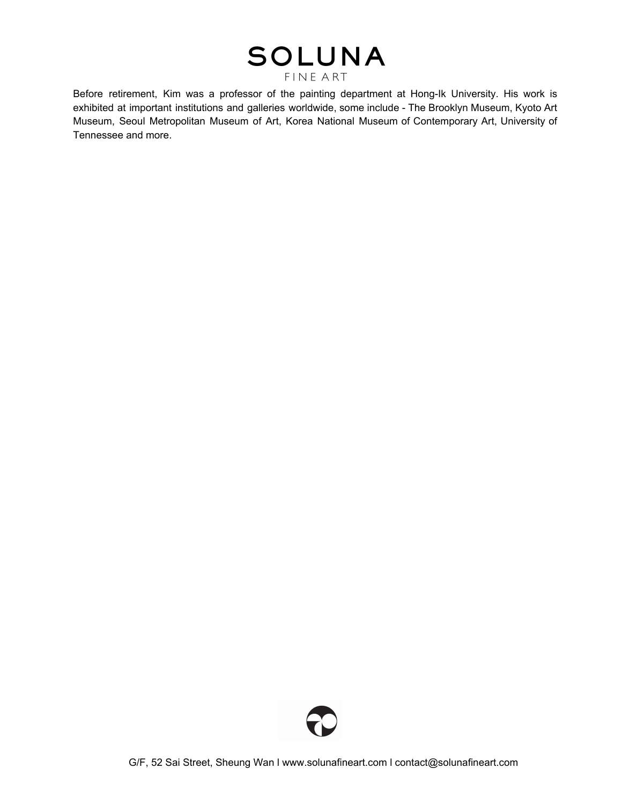Before retirement, Kim was a professor of the painting department at Hong-Ik University. His work is exhibited at important institutions and galleries worldwide, some include - The Brooklyn Museum, Kyoto Art Museum, Seoul Metropolitan Museum of Art, Korea National Museum of Contemporary Art, University of Tennessee and more.